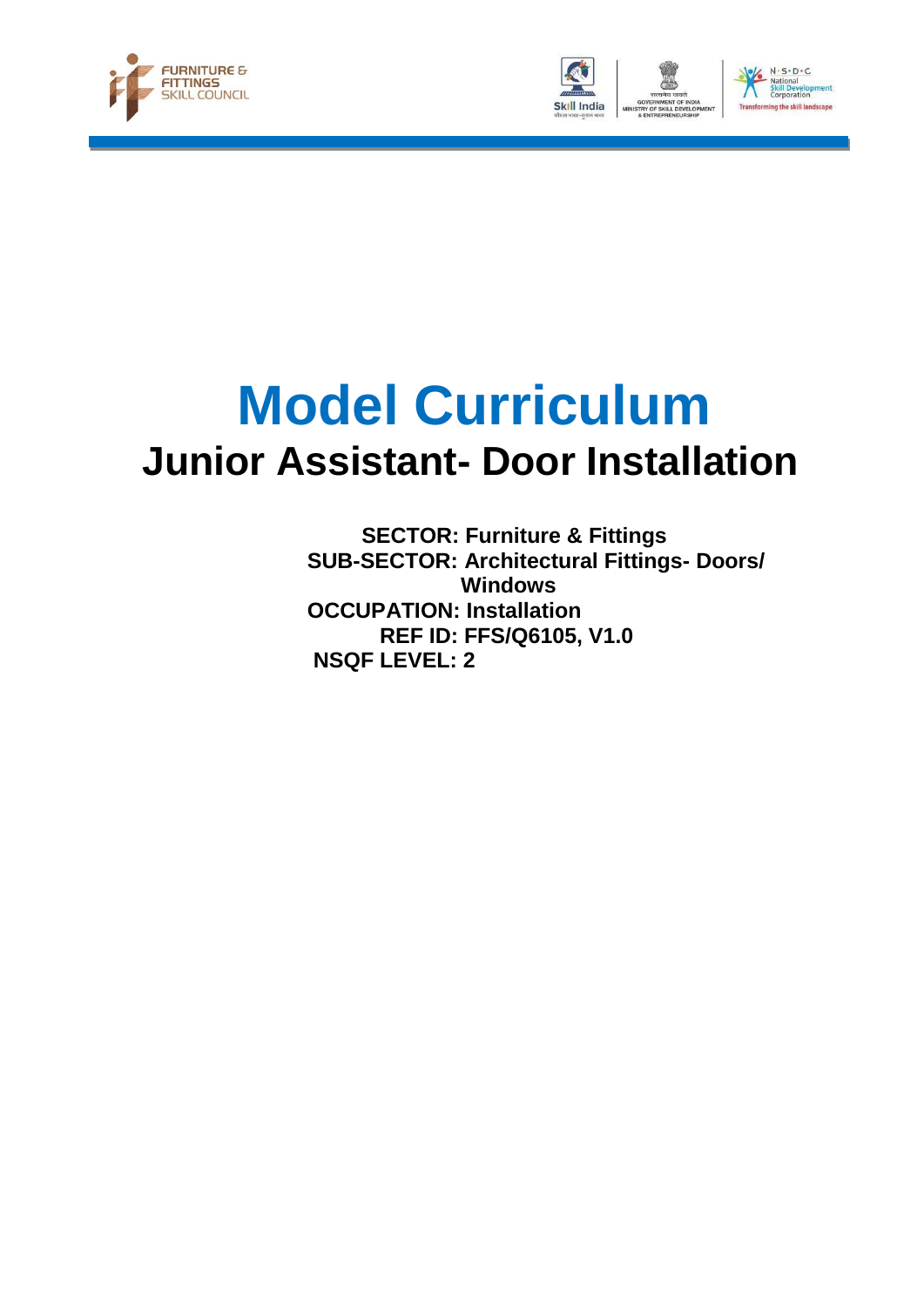





# **Model Curriculum Junior Assistant- Door Installation**

 **SECTOR: Furniture & Fittings SUB-SECTOR: Architectural Fittings- Doors/ Windows OCCUPATION: Installation REF ID: FFS/Q6105, V1.0 NSQF LEVEL: 2**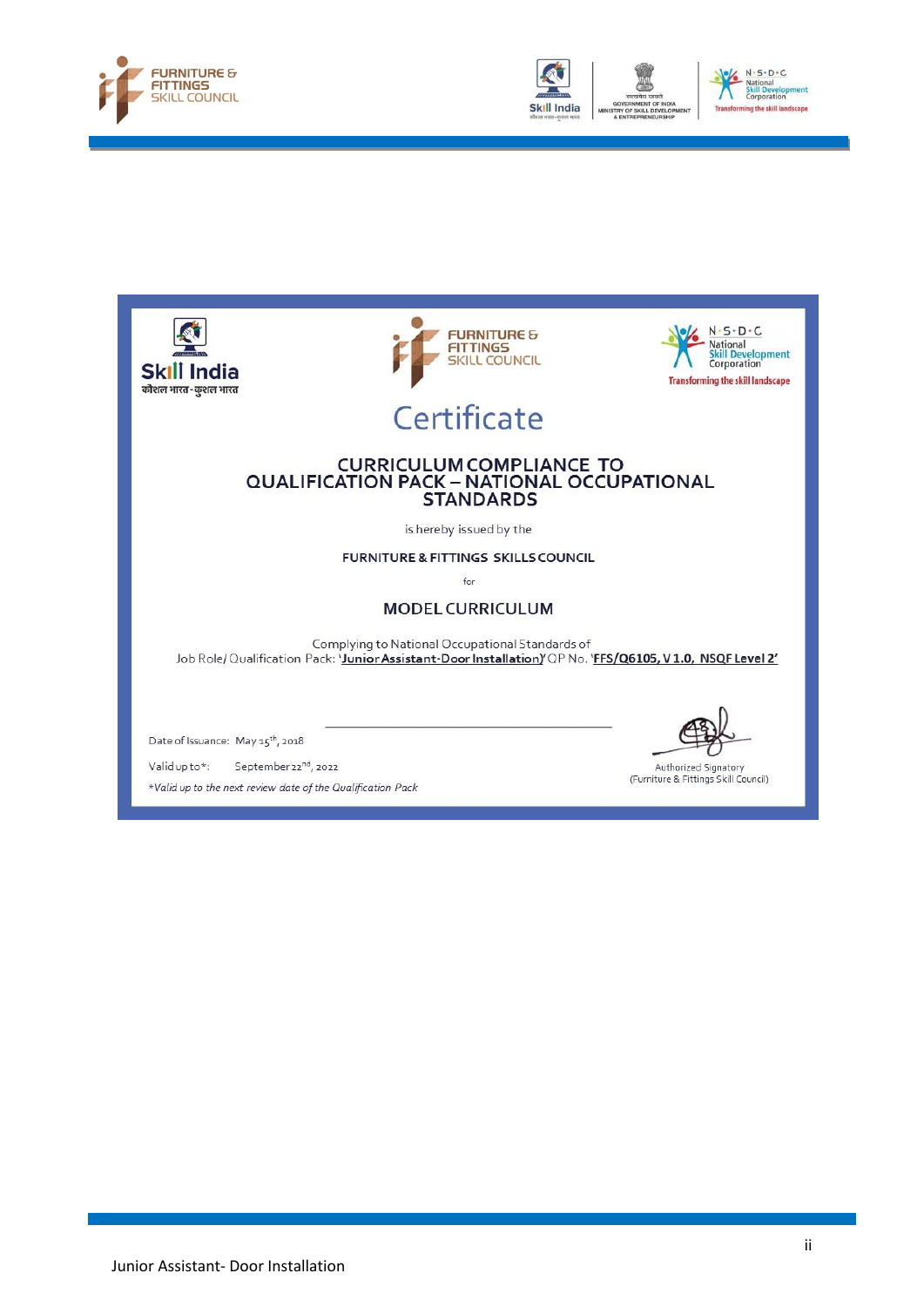







\*Valid up to the next review date of the Qualification Pack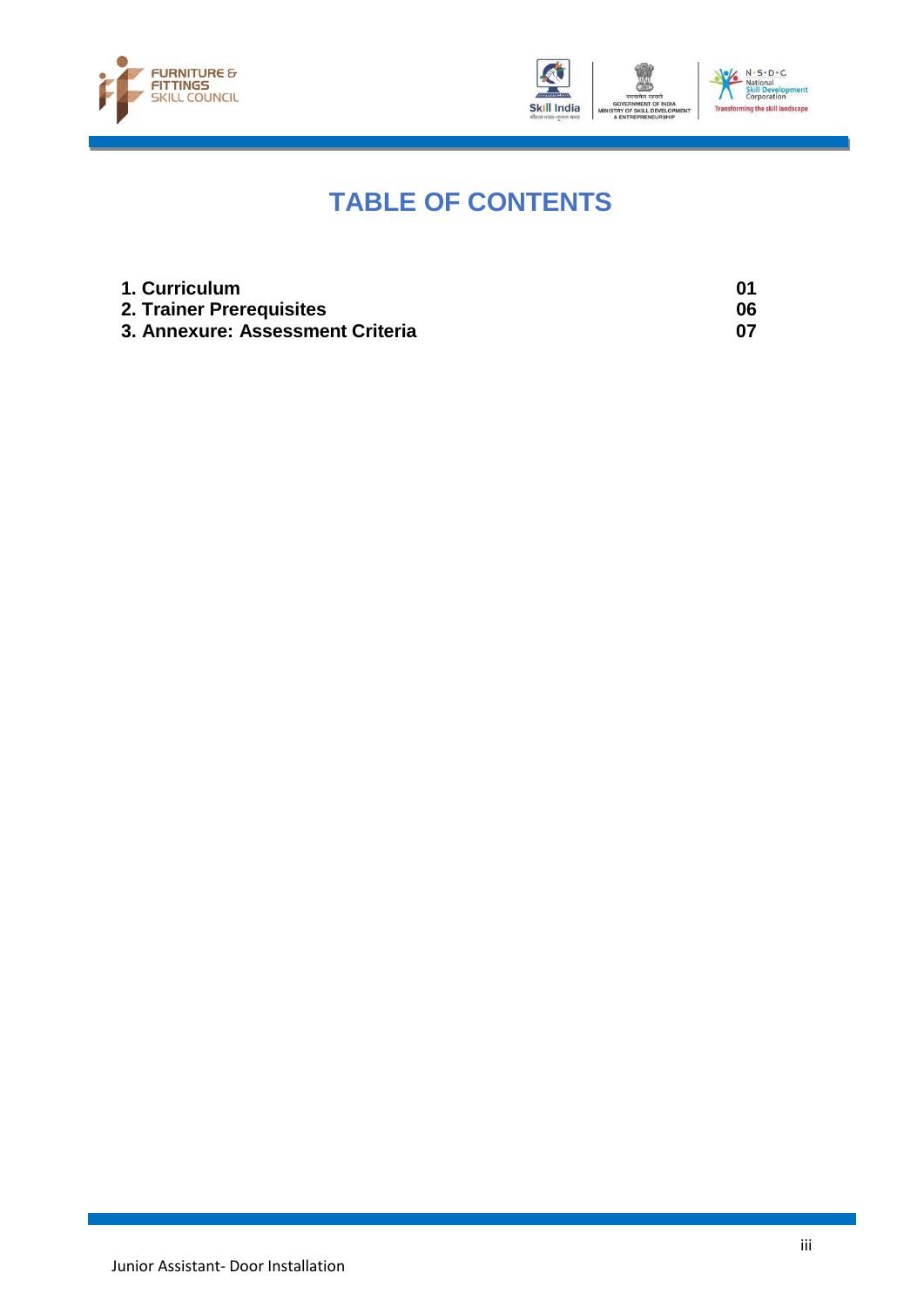



## **TABLE OF CONTENTS**

| 1. Curriculum                    |    |
|----------------------------------|----|
| 2. Trainer Prerequisites         | 06 |
| 3. Annexure: Assessment Criteria |    |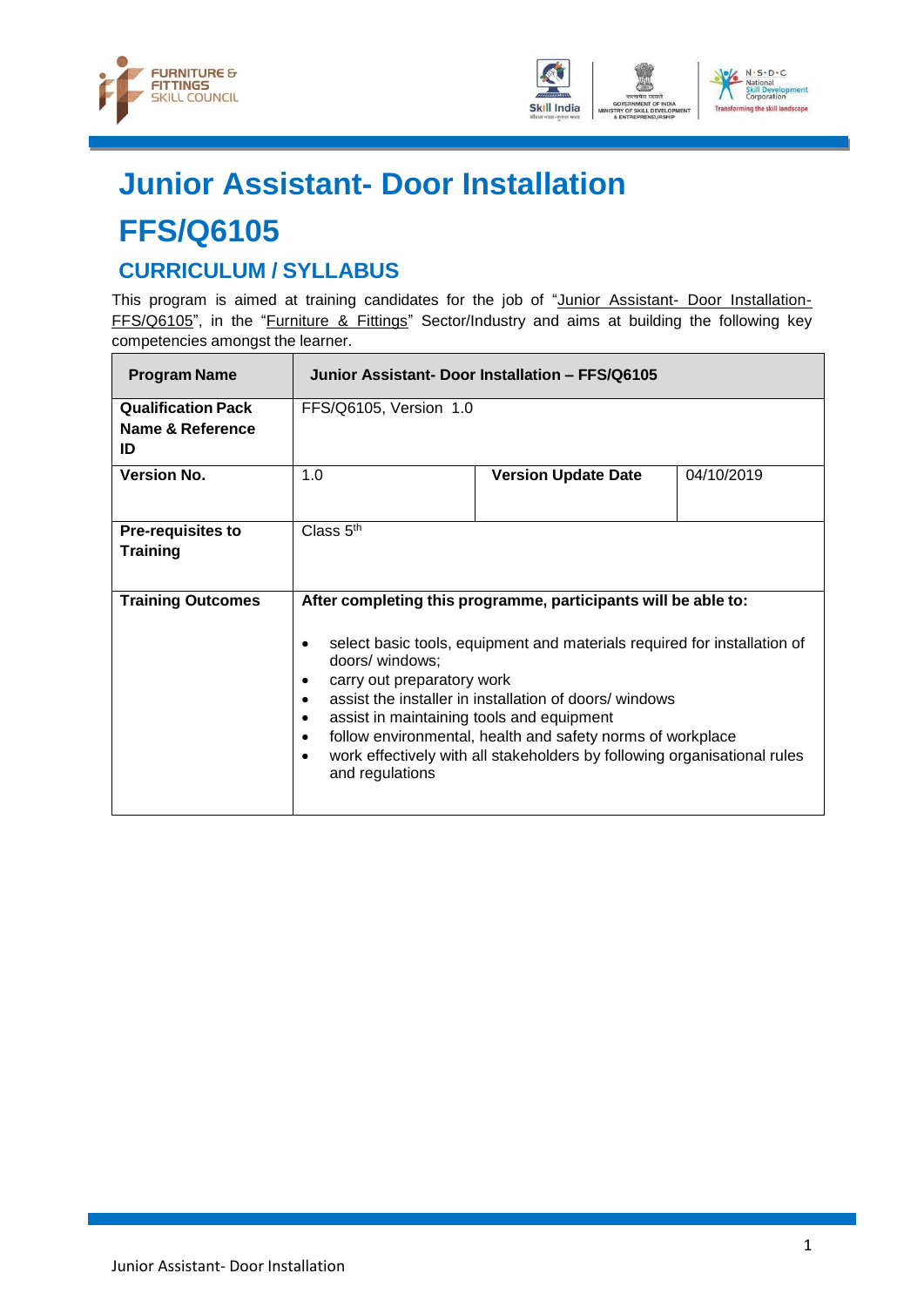



## **Junior Assistant- Door Installation**

## **FFS/Q6105**

### <span id="page-3-0"></span>**CURRICULUM / SYLLABUS**

This program is aimed at training candidates for the job of "Junior Assistant- Door Installation-FFS/Q6105", in the "Furniture & Fittings" Sector/Industry and aims at building the following key competencies amongst the learner.

| <b>Program Name</b>       |                                                                                                                                                                     | Junior Assistant- Door Installation - FFS/Q6105                                                                                                                                                                                                                              |            |
|---------------------------|---------------------------------------------------------------------------------------------------------------------------------------------------------------------|------------------------------------------------------------------------------------------------------------------------------------------------------------------------------------------------------------------------------------------------------------------------------|------------|
| <b>Qualification Pack</b> | FFS/Q6105, Version 1.0                                                                                                                                              |                                                                                                                                                                                                                                                                              |            |
| Name & Reference          |                                                                                                                                                                     |                                                                                                                                                                                                                                                                              |            |
| ID                        |                                                                                                                                                                     |                                                                                                                                                                                                                                                                              |            |
| <b>Version No.</b>        | 1.0                                                                                                                                                                 | <b>Version Update Date</b>                                                                                                                                                                                                                                                   | 04/10/2019 |
| <b>Pre-requisites to</b>  | Class $5th$                                                                                                                                                         |                                                                                                                                                                                                                                                                              |            |
| <b>Training</b>           |                                                                                                                                                                     |                                                                                                                                                                                                                                                                              |            |
| <b>Training Outcomes</b>  |                                                                                                                                                                     | After completing this programme, participants will be able to:                                                                                                                                                                                                               |            |
|                           | ٠<br>doors/ windows;<br>carry out preparatory work<br>٠<br>$\bullet$<br>assist in maintaining tools and equipment<br>٠<br>$\bullet$<br>$\bullet$<br>and regulations | select basic tools, equipment and materials required for installation of<br>assist the installer in installation of doors/ windows<br>follow environmental, health and safety norms of workplace<br>work effectively with all stakeholders by following organisational rules |            |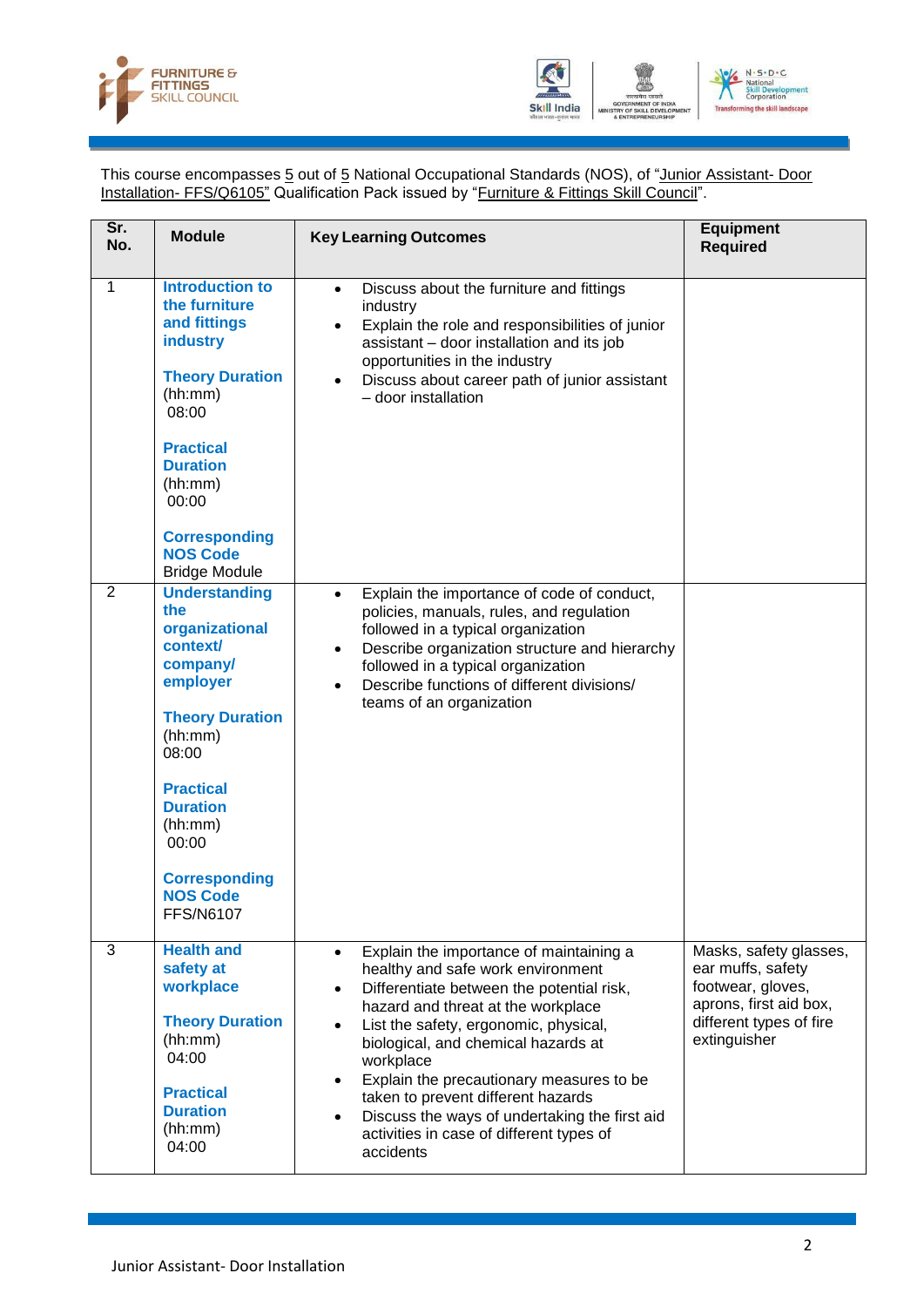



This course encompasses 5 out of 5 National Occupational Standards (NOS), of "Junior Assistant- Door Installation- FFS/Q6105" Qualification Pack issued by "Furniture & Fittings Skill Council".

| Sr.<br>No.     | <b>Module</b>                                                                                                                                                                                                                                             | <b>Key Learning Outcomes</b>                                                                                                                                                                                                                                                                                                                                                                                                                                                                    | <b>Equipment</b><br><b>Required</b>                                                                                                   |
|----------------|-----------------------------------------------------------------------------------------------------------------------------------------------------------------------------------------------------------------------------------------------------------|-------------------------------------------------------------------------------------------------------------------------------------------------------------------------------------------------------------------------------------------------------------------------------------------------------------------------------------------------------------------------------------------------------------------------------------------------------------------------------------------------|---------------------------------------------------------------------------------------------------------------------------------------|
| $\mathbf{1}$   | <b>Introduction to</b><br>the furniture<br>and fittings<br>industry<br><b>Theory Duration</b><br>(hh:mm)<br>08:00<br><b>Practical</b><br><b>Duration</b><br>(hh:mm)<br>00:00<br><b>Corresponding</b><br><b>NOS Code</b><br><b>Bridge Module</b>           | Discuss about the furniture and fittings<br>$\bullet$<br>industry<br>Explain the role and responsibilities of junior<br>assistant - door installation and its job<br>opportunities in the industry<br>Discuss about career path of junior assistant<br>- door installation                                                                                                                                                                                                                      |                                                                                                                                       |
| $\overline{2}$ | <b>Understanding</b><br>the<br>organizational<br>context/<br>company/<br>employer<br><b>Theory Duration</b><br>(hh:mm)<br>08:00<br><b>Practical</b><br><b>Duration</b><br>(hh:mm)<br>00:00<br><b>Corresponding</b><br><b>NOS Code</b><br><b>FFS/N6107</b> | Explain the importance of code of conduct,<br>$\bullet$<br>policies, manuals, rules, and regulation<br>followed in a typical organization<br>Describe organization structure and hierarchy<br>$\bullet$<br>followed in a typical organization<br>Describe functions of different divisions/<br>$\bullet$<br>teams of an organization                                                                                                                                                            |                                                                                                                                       |
| 3              | <b>Health and</b><br>safety at<br>workplace<br><b>Theory Duration</b><br>(hh:mm)<br>04:00<br><b>Practical</b><br><b>Duration</b><br>(hh:mm)<br>04:00                                                                                                      | Explain the importance of maintaining a<br>$\bullet$<br>healthy and safe work environment<br>Differentiate between the potential risk,<br>$\bullet$<br>hazard and threat at the workplace<br>List the safety, ergonomic, physical,<br>$\bullet$<br>biological, and chemical hazards at<br>workplace<br>Explain the precautionary measures to be<br>taken to prevent different hazards<br>Discuss the ways of undertaking the first aid<br>activities in case of different types of<br>accidents | Masks, safety glasses,<br>ear muffs, safety<br>footwear, gloves,<br>aprons, first aid box,<br>different types of fire<br>extinguisher |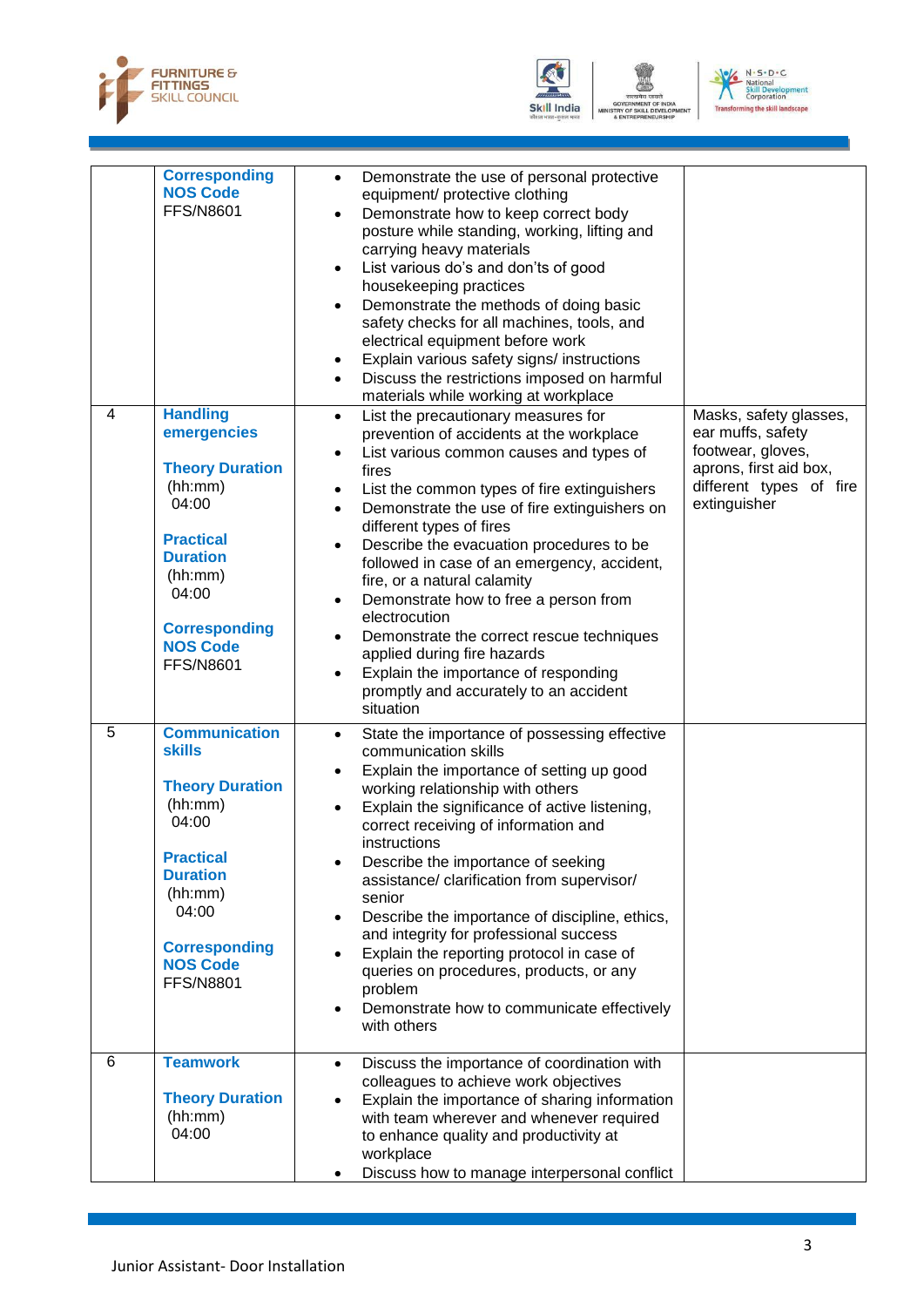



OF SKILL



|   | <b>Corresponding</b><br><b>NOS Code</b><br><b>FFS/N8601</b>                                                                                                                                                   | Demonstrate the use of personal protective<br>$\bullet$<br>equipment/ protective clothing<br>Demonstrate how to keep correct body<br>$\bullet$<br>posture while standing, working, lifting and<br>carrying heavy materials<br>List various do's and don'ts of good<br>$\bullet$<br>housekeeping practices<br>Demonstrate the methods of doing basic<br>$\bullet$<br>safety checks for all machines, tools, and<br>electrical equipment before work<br>Explain various safety signs/ instructions<br>$\bullet$<br>Discuss the restrictions imposed on harmful<br>$\bullet$<br>materials while working at workplace                                                                      |                                                                                                                                       |
|---|---------------------------------------------------------------------------------------------------------------------------------------------------------------------------------------------------------------|----------------------------------------------------------------------------------------------------------------------------------------------------------------------------------------------------------------------------------------------------------------------------------------------------------------------------------------------------------------------------------------------------------------------------------------------------------------------------------------------------------------------------------------------------------------------------------------------------------------------------------------------------------------------------------------|---------------------------------------------------------------------------------------------------------------------------------------|
| 4 | <b>Handling</b><br>emergencies<br><b>Theory Duration</b><br>(hh:mm)<br>04:00<br><b>Practical</b><br><b>Duration</b><br>(hh:mm)<br>04:00<br><b>Corresponding</b><br><b>NOS Code</b><br><b>FFS/N8601</b>        | List the precautionary measures for<br>$\bullet$<br>prevention of accidents at the workplace<br>List various common causes and types of<br>$\bullet$<br>fires<br>List the common types of fire extinguishers<br>٠<br>Demonstrate the use of fire extinguishers on<br>$\bullet$<br>different types of fires<br>Describe the evacuation procedures to be<br>$\bullet$<br>followed in case of an emergency, accident,<br>fire, or a natural calamity<br>Demonstrate how to free a person from<br>electrocution<br>Demonstrate the correct rescue techniques<br>applied during fire hazards<br>Explain the importance of responding<br>promptly and accurately to an accident<br>situation | Masks, safety glasses,<br>ear muffs, safety<br>footwear, gloves,<br>aprons, first aid box,<br>different types of fire<br>extinguisher |
| 5 | <b>Communication</b><br><b>skills</b><br><b>Theory Duration</b><br>(hh:mm)<br>04:00<br><b>Practical</b><br><b>Duration</b><br>(hh:mm)<br>04:00<br><b>Corresponding</b><br><b>NOS Code</b><br><b>FFS/N8801</b> | State the importance of possessing effective<br>$\bullet$<br>communication skills<br>Explain the importance of setting up good<br>working relationship with others<br>Explain the significance of active listening,<br>$\bullet$<br>correct receiving of information and<br>instructions<br>Describe the importance of seeking<br>٠<br>assistance/ clarification from supervisor/<br>senior<br>Describe the importance of discipline, ethics,<br>$\bullet$<br>and integrity for professional success<br>Explain the reporting protocol in case of<br>queries on procedures, products, or any<br>problem<br>Demonstrate how to communicate effectively<br>with others                   |                                                                                                                                       |
| 6 | <b>Teamwork</b><br><b>Theory Duration</b><br>(hh:mm)<br>04:00                                                                                                                                                 | Discuss the importance of coordination with<br>٠<br>colleagues to achieve work objectives<br>Explain the importance of sharing information<br>with team wherever and whenever required<br>to enhance quality and productivity at<br>workplace<br>Discuss how to manage interpersonal conflict                                                                                                                                                                                                                                                                                                                                                                                          |                                                                                                                                       |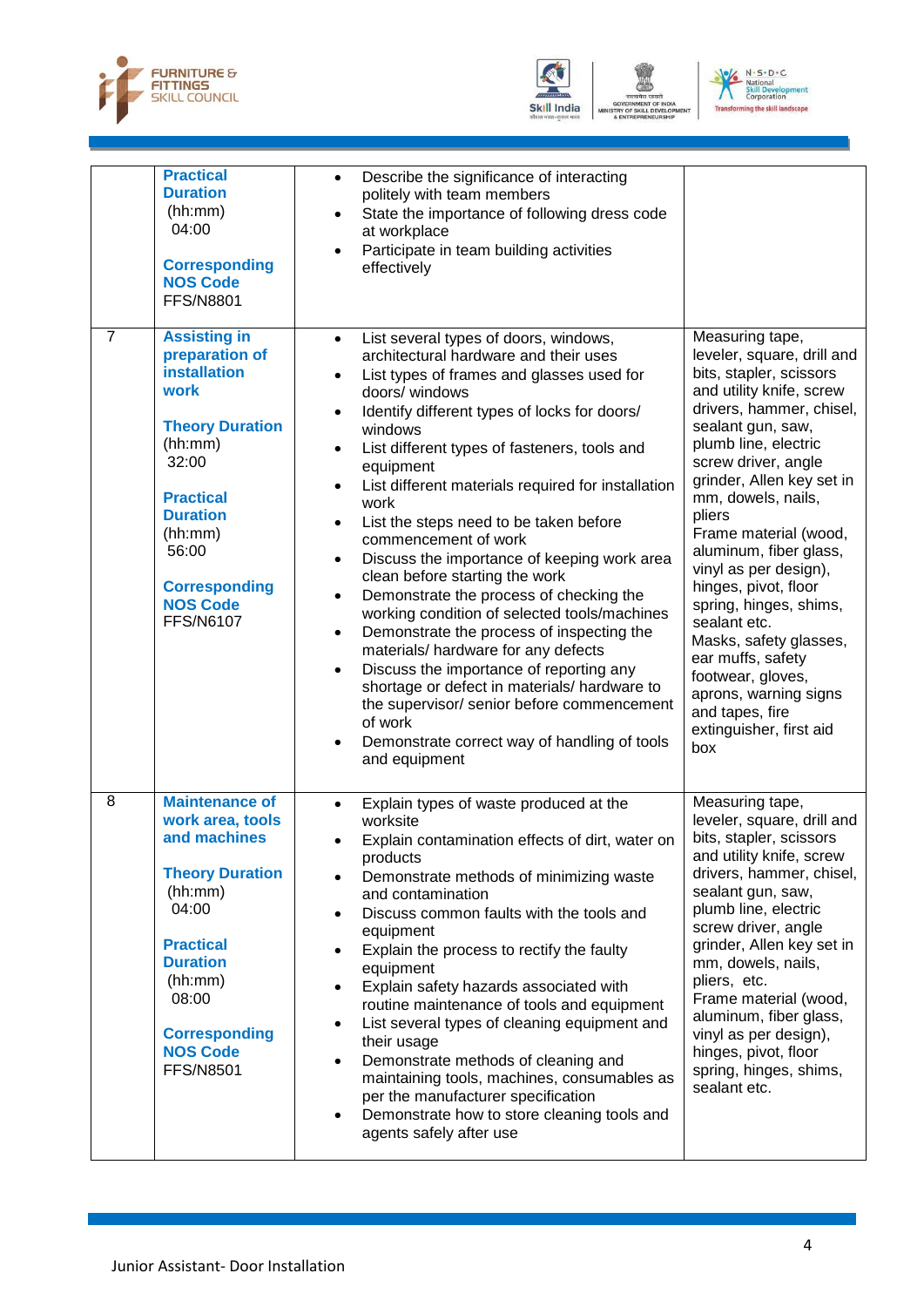



OF SKILL D



|                | <b>Practical</b><br><b>Duration</b><br>(hh:mm)<br>04:00<br><b>Corresponding</b><br><b>NOS Code</b><br><b>FFS/N8801</b>                                                                                                                       | Describe the significance of interacting<br>$\bullet$<br>politely with team members<br>State the importance of following dress code<br>$\bullet$<br>at workplace<br>Participate in team building activities<br>effectively                                                                                                                                                                                                                                                                                                                                                                                                                                                                                                                                                                                                                                                                                                                                                                                      |                                                                                                                                                                                                                                                                                                                                                                                                                                                                                                                                                                   |
|----------------|----------------------------------------------------------------------------------------------------------------------------------------------------------------------------------------------------------------------------------------------|-----------------------------------------------------------------------------------------------------------------------------------------------------------------------------------------------------------------------------------------------------------------------------------------------------------------------------------------------------------------------------------------------------------------------------------------------------------------------------------------------------------------------------------------------------------------------------------------------------------------------------------------------------------------------------------------------------------------------------------------------------------------------------------------------------------------------------------------------------------------------------------------------------------------------------------------------------------------------------------------------------------------|-------------------------------------------------------------------------------------------------------------------------------------------------------------------------------------------------------------------------------------------------------------------------------------------------------------------------------------------------------------------------------------------------------------------------------------------------------------------------------------------------------------------------------------------------------------------|
| $\overline{7}$ | <b>Assisting in</b><br>preparation of<br><b>installation</b><br>work<br><b>Theory Duration</b><br>(hh:mm)<br>32:00<br><b>Practical</b><br><b>Duration</b><br>(hh:mm)<br>56:00<br><b>Corresponding</b><br><b>NOS Code</b><br><b>FFS/N6107</b> | List several types of doors, windows,<br>architectural hardware and their uses<br>List types of frames and glasses used for<br>$\bullet$<br>doors/ windows<br>Identify different types of locks for doors/<br>$\bullet$<br>windows<br>List different types of fasteners, tools and<br>$\bullet$<br>equipment<br>List different materials required for installation<br>$\bullet$<br>work<br>List the steps need to be taken before<br>commencement of work<br>Discuss the importance of keeping work area<br>$\bullet$<br>clean before starting the work<br>Demonstrate the process of checking the<br>$\bullet$<br>working condition of selected tools/machines<br>Demonstrate the process of inspecting the<br>$\bullet$<br>materials/ hardware for any defects<br>Discuss the importance of reporting any<br>$\bullet$<br>shortage or defect in materials/ hardware to<br>the supervisor/ senior before commencement<br>of work<br>Demonstrate correct way of handling of tools<br>$\bullet$<br>and equipment | Measuring tape,<br>leveler, square, drill and<br>bits, stapler, scissors<br>and utility knife, screw<br>drivers, hammer, chisel,<br>sealant gun, saw,<br>plumb line, electric<br>screw driver, angle<br>grinder, Allen key set in<br>mm, dowels, nails,<br>pliers<br>Frame material (wood,<br>aluminum, fiber glass,<br>vinyl as per design),<br>hinges, pivot, floor<br>spring, hinges, shims,<br>sealant etc.<br>Masks, safety glasses,<br>ear muffs, safety<br>footwear, gloves,<br>aprons, warning signs<br>and tapes, fire<br>extinguisher, first aid<br>box |
| 8              | <b>Maintenance of</b><br>work area, tools<br>and machines<br><b>Theory Duration</b><br>(hh:mm)<br>04:00<br><b>Practical</b><br><b>Duration</b><br>(hh:mm)<br>08:00<br><b>Corresponding</b><br><b>NOS Code</b><br><b>FFS/N8501</b>            | Explain types of waste produced at the<br>$\bullet$<br>worksite<br>Explain contamination effects of dirt, water on<br>products<br>Demonstrate methods of minimizing waste<br>and contamination<br>Discuss common faults with the tools and<br>equipment<br>Explain the process to rectify the faulty<br>equipment<br>Explain safety hazards associated with<br>$\bullet$<br>routine maintenance of tools and equipment<br>List several types of cleaning equipment and<br>$\bullet$<br>their usage<br>Demonstrate methods of cleaning and<br>$\bullet$<br>maintaining tools, machines, consumables as<br>per the manufacturer specification<br>Demonstrate how to store cleaning tools and<br>$\bullet$<br>agents safely after use                                                                                                                                                                                                                                                                              | Measuring tape,<br>leveler, square, drill and<br>bits, stapler, scissors<br>and utility knife, screw<br>drivers, hammer, chisel,<br>sealant gun, saw,<br>plumb line, electric<br>screw driver, angle<br>grinder, Allen key set in<br>mm, dowels, nails,<br>pliers, etc.<br>Frame material (wood,<br>aluminum, fiber glass,<br>vinyl as per design),<br>hinges, pivot, floor<br>spring, hinges, shims,<br>sealant etc.                                                                                                                                             |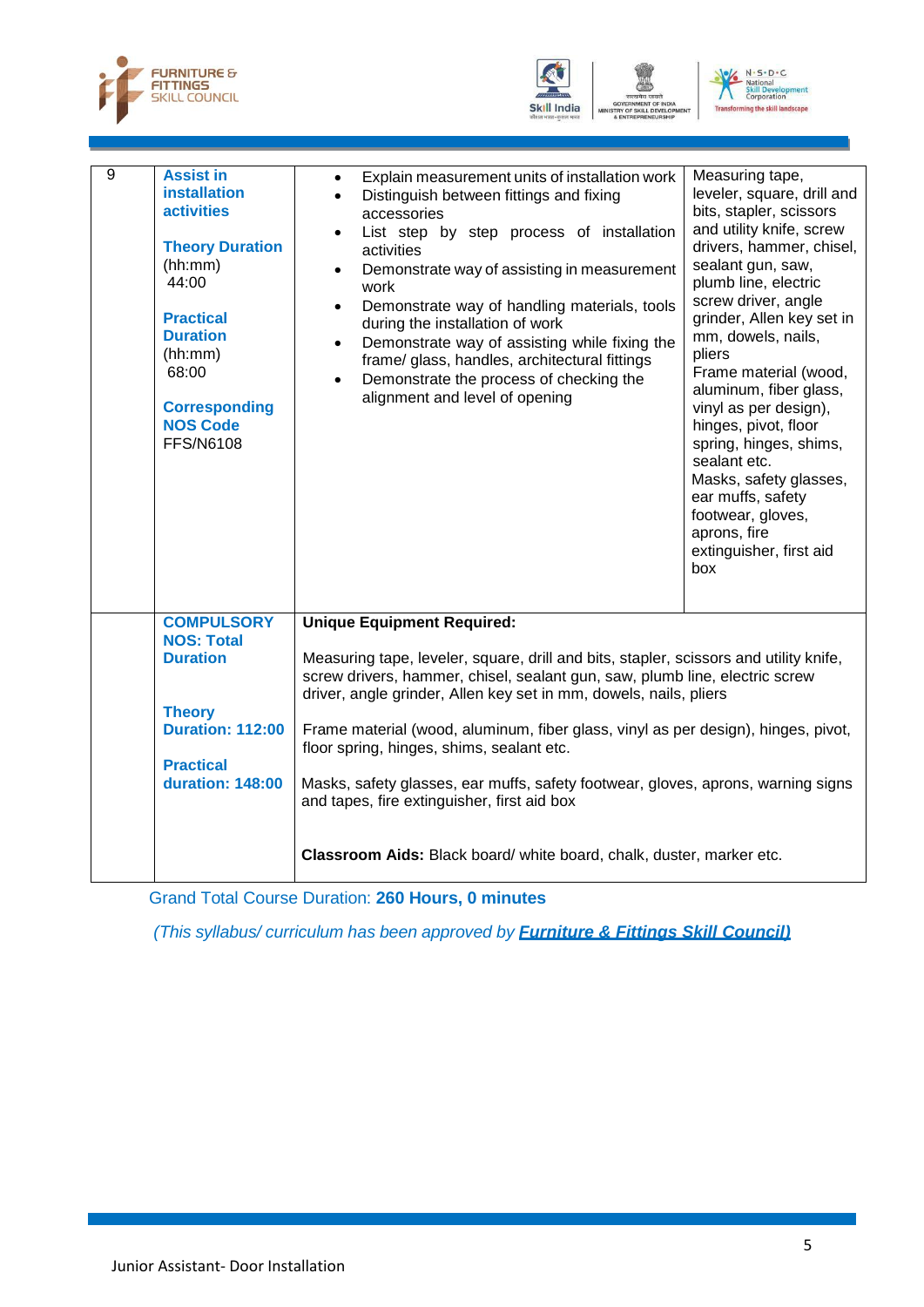





| <b>Unique Equipment Required:</b><br><b>COMPULSORY</b><br><b>NOS: Total</b><br><b>Duration</b><br>Measuring tape, leveler, square, drill and bits, stapler, scissors and utility knife,<br>screw drivers, hammer, chisel, sealant gun, saw, plumb line, electric screw<br>driver, angle grinder, Allen key set in mm, dowels, nails, pliers<br><b>Theory</b><br><b>Duration: 112:00</b><br>Frame material (wood, aluminum, fiber glass, vinyl as per design), hinges, pivot,<br>floor spring, hinges, shims, sealant etc.<br><b>Practical</b><br><b>duration: 148:00</b><br>Masks, safety glasses, ear muffs, safety footwear, gloves, aprons, warning signs<br>and tapes, fire extinguisher, first aid box | $\overline{9}$ | <b>Assist in</b><br><b>installation</b><br><b>activities</b><br><b>Theory Duration</b><br>(hh:mm)<br>44:00<br><b>Practical</b><br><b>Duration</b><br>(hh:mm)<br>68:00<br><b>Corresponding</b><br><b>NOS Code</b><br><b>FFS/N6108</b> | Explain measurement units of installation work<br>$\bullet$<br>Distinguish between fittings and fixing<br>$\bullet$<br>accessories<br>List step by step process of installation<br>$\bullet$<br>activities<br>Demonstrate way of assisting in measurement<br>$\bullet$<br>work<br>Demonstrate way of handling materials, tools<br>$\bullet$<br>during the installation of work<br>Demonstrate way of assisting while fixing the<br>$\bullet$<br>frame/ glass, handles, architectural fittings<br>Demonstrate the process of checking the<br>$\bullet$<br>alignment and level of opening | Measuring tape,<br>leveler, square, drill and<br>bits, stapler, scissors<br>and utility knife, screw<br>drivers, hammer, chisel,<br>sealant gun, saw,<br>plumb line, electric<br>screw driver, angle<br>grinder, Allen key set in<br>mm, dowels, nails,<br>pliers<br>Frame material (wood,<br>aluminum, fiber glass,<br>vinyl as per design),<br>hinges, pivot, floor<br>spring, hinges, shims,<br>sealant etc.<br>Masks, safety glasses,<br>ear muffs, safety<br>footwear, gloves,<br>aprons, fire<br>extinguisher, first aid<br>box |
|-------------------------------------------------------------------------------------------------------------------------------------------------------------------------------------------------------------------------------------------------------------------------------------------------------------------------------------------------------------------------------------------------------------------------------------------------------------------------------------------------------------------------------------------------------------------------------------------------------------------------------------------------------------------------------------------------------------|----------------|--------------------------------------------------------------------------------------------------------------------------------------------------------------------------------------------------------------------------------------|-----------------------------------------------------------------------------------------------------------------------------------------------------------------------------------------------------------------------------------------------------------------------------------------------------------------------------------------------------------------------------------------------------------------------------------------------------------------------------------------------------------------------------------------------------------------------------------------|---------------------------------------------------------------------------------------------------------------------------------------------------------------------------------------------------------------------------------------------------------------------------------------------------------------------------------------------------------------------------------------------------------------------------------------------------------------------------------------------------------------------------------------|
|                                                                                                                                                                                                                                                                                                                                                                                                                                                                                                                                                                                                                                                                                                             |                |                                                                                                                                                                                                                                      | Classroom Aids: Black board/ white board, chalk, duster, marker etc.                                                                                                                                                                                                                                                                                                                                                                                                                                                                                                                    |                                                                                                                                                                                                                                                                                                                                                                                                                                                                                                                                       |

Grand Total Course Duration: **260 Hours, 0 minutes**

*(This syllabus/ curriculum has been approved by Furniture & Fittings Skill Council)*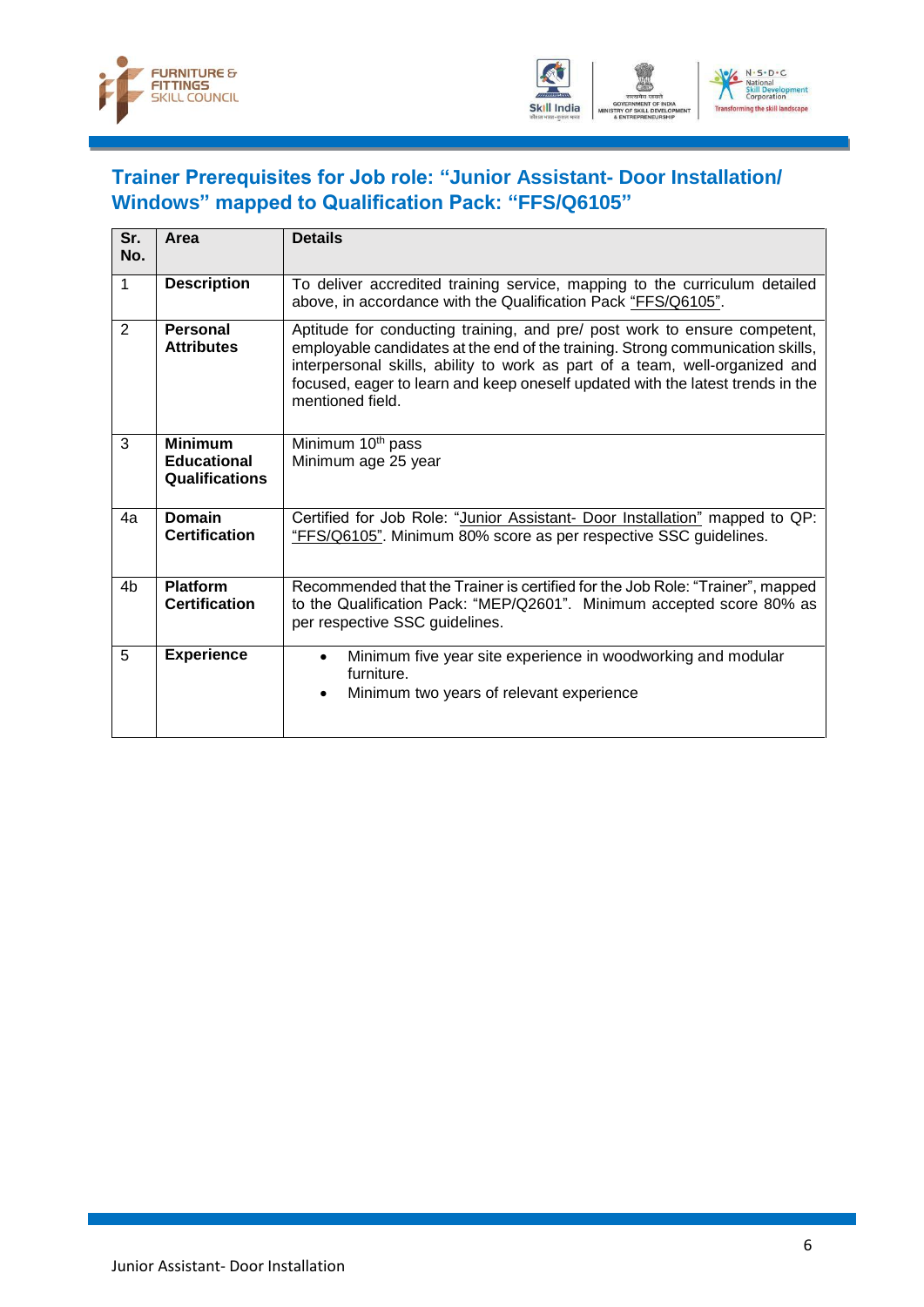



#### <span id="page-8-0"></span>**Trainer Prerequisites for Job role: "Junior Assistant- Door Installation/ Windows" mapped to Qualification Pack: "FFS/Q6105"**

| Sr.<br>No.     | Area                                                          | <b>Details</b>                                                                                                                                                                                                                                                                                                                                   |
|----------------|---------------------------------------------------------------|--------------------------------------------------------------------------------------------------------------------------------------------------------------------------------------------------------------------------------------------------------------------------------------------------------------------------------------------------|
| 1              | <b>Description</b>                                            | To deliver accredited training service, mapping to the curriculum detailed<br>above, in accordance with the Qualification Pack "FFS/Q6105".                                                                                                                                                                                                      |
| 2              | Personal<br><b>Attributes</b>                                 | Aptitude for conducting training, and pre/ post work to ensure competent,<br>employable candidates at the end of the training. Strong communication skills,<br>interpersonal skills, ability to work as part of a team, well-organized and<br>focused, eager to learn and keep oneself updated with the latest trends in the<br>mentioned field. |
| 3              | <b>Minimum</b><br><b>Educational</b><br><b>Qualifications</b> | Minimum 10 <sup>th</sup> pass<br>Minimum age 25 year                                                                                                                                                                                                                                                                                             |
| 4a             | <b>Domain</b><br><b>Certification</b>                         | Certified for Job Role: "Junior Assistant- Door Installation" mapped to QP:<br>"FFS/Q6105". Minimum 80% score as per respective SSC guidelines.                                                                                                                                                                                                  |
| 4 <sub>b</sub> | <b>Platform</b><br><b>Certification</b>                       | Recommended that the Trainer is certified for the Job Role: "Trainer", mapped<br>to the Qualification Pack: "MEP/Q2601". Minimum accepted score 80% as<br>per respective SSC guidelines.                                                                                                                                                         |
| 5              | <b>Experience</b>                                             | Minimum five year site experience in woodworking and modular<br>$\bullet$<br>furniture.<br>Minimum two years of relevant experience<br>$\bullet$                                                                                                                                                                                                 |